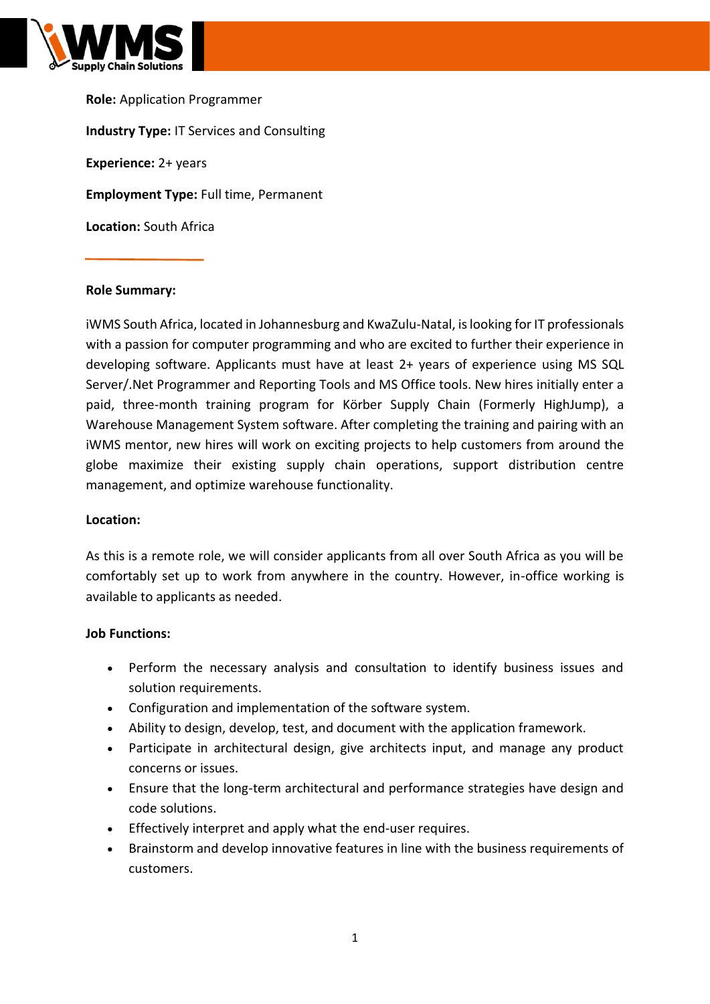

**Role:** Application Programmer **Industry Type:** IT Services and Consulting **Experience:** 2+ years **Employment Type:** Full time, Permanent **Location:** South Africa

## **Role Summary:**

iWMS South Africa, located in Johannesburg and KwaZulu-Natal, is looking for IT professionals with a passion for computer programming and who are excited to further their experience in developing software. Applicants must have at least 2+ years of experience using MS SQL Server/.Net Programmer and Reporting Tools and MS Office tools. New hires initially enter a paid, three-month training program for Körber Supply Chain (Formerly HighJump), a Warehouse Management System software. After completing the training and pairing with an iWMS mentor, new hires will work on exciting projects to help customers from around the globe maximize their existing supply chain operations, support distribution centre management, and optimize warehouse functionality.

## **Location:**

As this is a remote role, we will consider applicants from all over South Africa as you will be comfortably set up to work from anywhere in the country. However, in-office working is available to applicants as needed.

## **Job Functions:**

- Perform the necessary analysis and consultation to identify business issues and solution requirements.
- Configuration and implementation of the software system.
- Ability to design, develop, test, and document with the application framework.
- Participate in architectural design, give architects input, and manage any product concerns or issues.
- Ensure that the long-term architectural and performance strategies have design and code solutions.
- Effectively interpret and apply what the end-user requires.
- Brainstorm and develop innovative features in line with the business requirements of customers.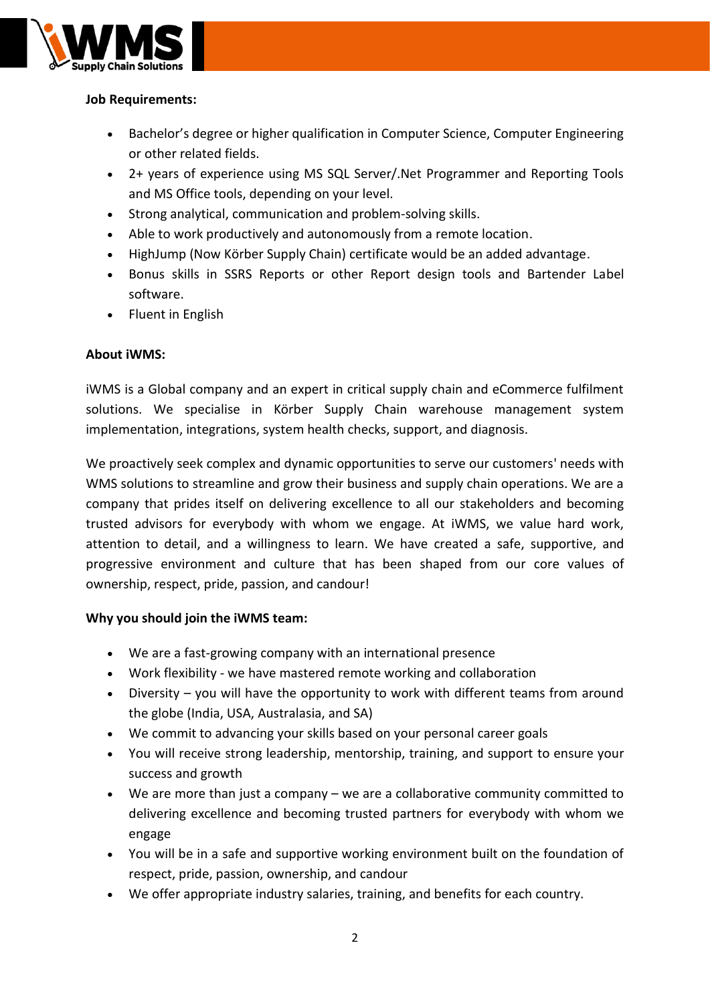

# **Job Requirements:**

- Bachelor's degree or higher qualification in Computer Science, Computer Engineering or other related fields.
- 2+ years of experience using MS SQL Server/.Net Programmer and Reporting Tools and MS Office tools, depending on your level.
- Strong analytical, communication and problem-solving skills.
- Able to work productively and autonomously from a remote location.
- HighJump (Now Körber Supply Chain) certificate would be an added advantage.
- Bonus skills in SSRS Reports or other Report design tools and Bartender Label software.
- Fluent in English

## **About iWMS:**

iWMS is a Global company and an expert in critical supply chain and eCommerce fulfilment solutions. We specialise in Körber Supply Chain warehouse management system implementation, integrations, system health checks, support, and diagnosis.

We proactively seek complex and dynamic opportunities to serve our customers' needs with WMS solutions to streamline and grow their business and supply chain operations. We are a company that prides itself on delivering excellence to all our stakeholders and becoming trusted advisors for everybody with whom we engage. At iWMS, we value hard work, attention to detail, and a willingness to learn. We have created a safe, supportive, and progressive environment and culture that has been shaped from our core values of ownership, respect, pride, passion, and candour!

## **Why you should join the iWMS team:**

- We are a fast-growing company with an international presence
- Work flexibility we have mastered remote working and collaboration
- Diversity you will have the opportunity to work with different teams from around the globe (India, USA, Australasia, and SA)
- We commit to advancing your skills based on your personal career goals
- You will receive strong leadership, mentorship, training, and support to ensure your success and growth
- We are more than just a company we are a collaborative community committed to delivering excellence and becoming trusted partners for everybody with whom we engage
- You will be in a safe and supportive working environment built on the foundation of respect, pride, passion, ownership, and candour
- We offer appropriate industry salaries, training, and benefits for each country.